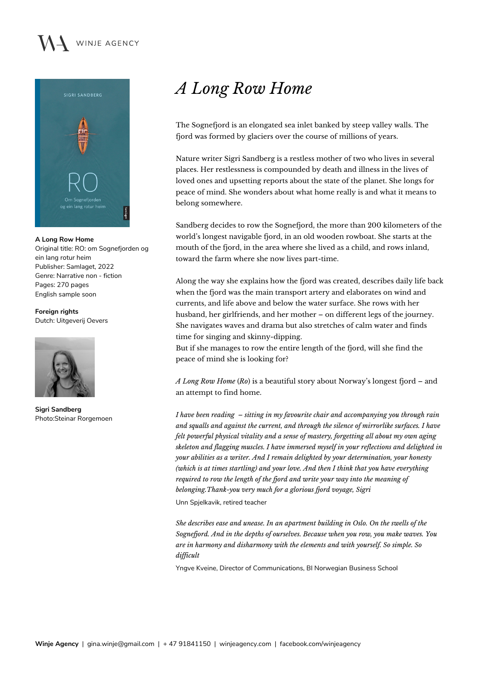## WINJE AGENCY



**A Long Row Home** Original title: RO: om Sognefjorden og ein lang rotur heim Publisher: Samlaget, 2022 Genre: Narrative non - fiction Pages: 270 pages English sample soon

**Foreign rights** Dutch: Uitgeverij Oevers



**Sigri Sandberg** Photo:Steinar Rorgemoen

## *A Long Row Home*

The Sognefjord is an elongated sea inlet banked by steep valley walls. The fjord was formed by glaciers over the course of millions of years.

Nature writer Sigri Sandberg is a restless mother of two who lives in several places. Her restlessness is compounded by death and illness in the lives of loved ones and upsetting reports about the state of the planet. She longs for peace of mind. She wonders about what home really is and what it means to belong somewhere.

Sandberg decides to row the Sognefjord, the more than 200 kilometers of the world's longest navigable fjord, in an old wooden rowboat. She starts at the mouth of the fjord, in the area where she lived as a child, and rows inland, toward the farm where she now lives part-time.

Along the way she explains how the fjord was created, describes daily life back when the fjord was the main transport artery and elaborates on wind and currents, and life above and below the water surface. She rows with her husband, her girlfriends, and her mother – on different legs of the journey. She navigates waves and drama but also stretches of calm water and finds time for singing and skinny-dipping.

But if she manages to row the entire length of the fjord, will she find the peace of mind she is looking for?

*A Long Row Home* (*Ro*) is a beautiful story about Norway's longest fjord – and an attempt to find home.

*I have been reading – sitting in my favourite chair and accompanying you through rain and squalls and against the current, and through the silence of mirrorlike surfaces. I have felt powerful physical vitality and a sense of mastery, forgetting all about my own aging skeleton and flagging muscles. I have immersed myself in your reflections and delighted in your abilities as a writer. And I remain delighted by your determination, your honesty (which is at times startling) and your love. And then I think that you have everything required to row the length of the fjord and write your way into the meaning of belonging.Thank-you very much for a glorious fjord voyage, Sigri*

Unn Spjelkavik, retired teacher

*She describes ease and unease. In an apartment building in Oslo. On the swells of the Sognefjord. And in the depths of ourselves. Because when you row, you make waves. You are in harmony and disharmony with the elements and with yourself. So simple. So difficult*

Yngve Kveine, Director of Communications, BI Norwegian Business School